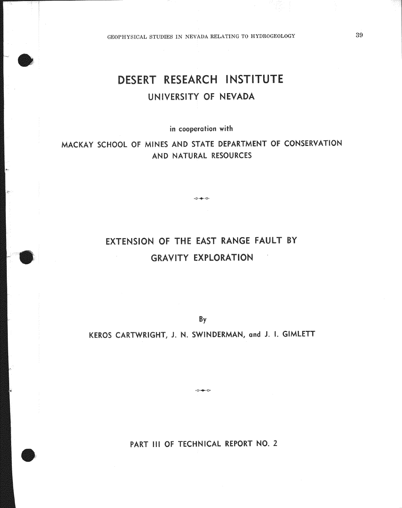GEOPHYSICAL STUDIES IN NEVADA RELATING TO HYDROGEOLOGY

# DESERT RESEARCH INSTITUTE UNIVERSITY OF NEVADA

in cooperation with

MACKAY SCHOOL OF MINES AND STATE DEPARTMENT OF CONSERVATION AND NATURAL RESOURCES

 $\circ \rightarrow \circ$ 

# EXTENSION OF THE EAST RANGE FAULT BY **GRAVITY EXPLORATION**

By

KEROS CARTWRIGHT, J. N. SWINDERMAN, and J. I. GIMLETT

PART III OF TECHNICAL REPORT NO. 2

 $-0 - 0$ 

39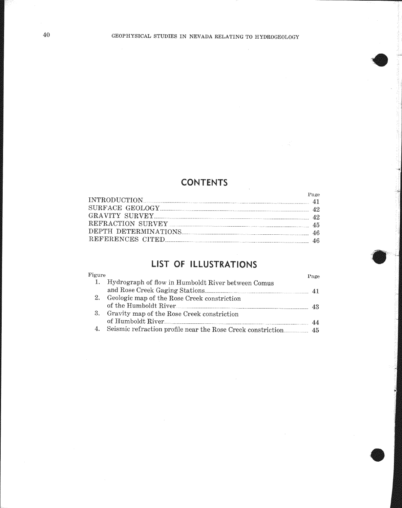# **CONTENTS**

|                         | Fage. |
|-------------------------|-------|
| INTRODUCTION 41         |       |
| SURFACE GEOLOGY 22      |       |
| GRAVITY SURVEY          |       |
| REFRACTION SURVEY 45    |       |
| DEPTH DETERMINATIONS 46 |       |
|                         |       |

# LIST OF ILLUSTRATIONS

| Figure |                                                                | Page |
|--------|----------------------------------------------------------------|------|
| 1.     | Hydrograph of flow in Humboldt River between Comus             |      |
|        | and Rose Creek Gaging Stations                                 |      |
| 2.     | Geologic map of the Rose Creek constriction                    |      |
|        | of the Humboldt River                                          | 43   |
| 3.     | Gravity map of the Rose Creek constriction                     |      |
|        | of Humboldt River                                              |      |
|        | 4. Seismic refraction profile near the Rose Creek constriction | 45   |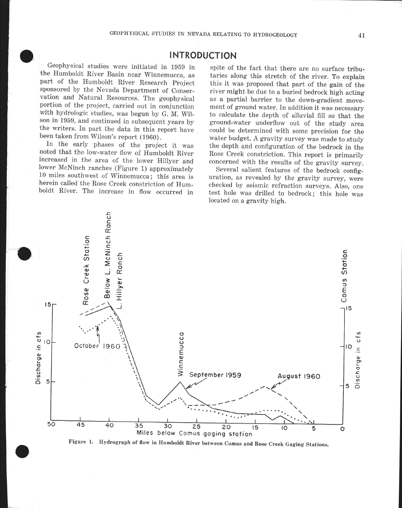### **INTRODUCTION**

Geophysical studies were initiated in 1959 in the Humboldt River Basin near Winnemucca, as part of the Humboldt River Research Project sponsored by the Nevada Department of Conservation and Natural Resources. The geophysical portion of the project, carried out in conjunction with hydrologic studies, was begun by G. M. Wilson in 1959, and continued in subsequent years by the writers. In part the data in this report have been taken from Wilson's report (1960).

In the early phases of the project it was noted that the low-water flow of Humboldt River increased in the area of the lower Hillyer and lower McNinch ranches (Figure 1) approximately 10 miles southwest of Winnemucca; this area is herein called the Rose Creek constriction of Humboldt River. The increase in flow occurred in

spite of the fact that there are no surface tributaries along this stretch of the river. To explain this it was proposed that part of the gain of the river might be due to a buried bedrock high acting as a partial barrier to the down-gradient movement of ground water. In addition it was necessary to calculate the depth of alluvial fill so that the ground-water underflow out of the study area could be determined with some precision for the water budget. A gravity survey was made to study the depth and configuration of the bedrock in the Rose Creek constriction. This report is primarily concerned with the results of the gravity survey.

Several salient features of the bedrock configuration, as revealed by the gravity survey, were checked by seismic refraction surveys. Also, one test hole was drilled to bedrock; this hole was located on a gravity high.



Figure 1. Hydrograph of flow in Humboldt River between Comus and Rose Creek Gaging Stations.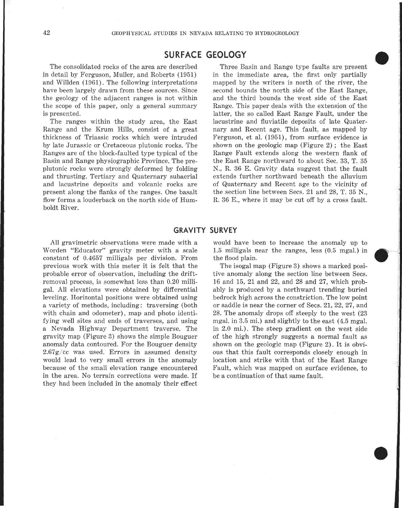## SURFACE GEOLOGY

The consolidated rocks of the area are described in detail by Ferguson, Muller, and Roberts (1951) and Willden (1961). The following interpretations have been largely drawn from these sources. Since the geology of the adjacent ranges is not within the scope of this paper, only a general summary is presented.

The ranges within the study area, the East Range and the Krum Hills, consist of a great thickness of Triassic rocks which were intruded by late Jurassic or Cretaceous plutonic rocks. The Ranges are of the block-faulted type typical of the Basin and Range physiographic Province. The preplutonic rocks were strongly deformed by folding and thrusting. Tertiary and Quaternary subaerial and lacustrine deposits and volcanic rocks are present along the flanks of the ranges. One basalt flow forms a louderback on the north side of Humboldt River.

Three Basin and Range type faults are present in the immediate area, the first only partially mapped by the writers is north of the river, the second bounds the north side of the East Range. and the third bounds the west side of the Range. This paper deals with the extension of the latter, the so called East Range Fault, under the lacustrine and fluviatile deposits of late Quaternary and Recent age. This fault, as mapped by Ferguson, et al. (1951), from surface evidence is shown on the geologic map (Figure 2); the East Range Fault extends along the western flank of the East Range northward to about Sec. 33, T, 35 N., R. 36 E. Gravity data suggest that the fault extends further northward beneath the of Quaternary and Recent age to the vicinity of the section line between Secs. 21 and 28, T.  $35$  N. R. 36 E., where it may be cut off by a cross fault.

### **GRAVITY SURVEY**

All gravimetric observations were made with a Worden "Educator" gravity meter with a scale constant of 0.4657 previous work with this meter it is felt that the probable error of observation, including the driftremoval process, is somewhat less than 0.20 milligal. All elevations were obtained by differential leveling. Horizontal positions were obtained using a variety of methods, including: traversing (both with chain and odometer), map and photo identifying well sites and ends of traverses, and using a Nevada Highway Department traverse. The gravity map (Figure 3) shows the simple Bouguer anomaly data contoured. For the Bouguer density  $2.67g$ /cc was used. Errors in assumed density would lead to very small errors in the anomaly because of the small elevation range encountered in the area. No terrain corrections were made. If had been included in the anomaly their effect.

would have been to increase the anomaly up to the ranges, less  $(0.5 \text{ mgal.})$  in the flood plain.

The isogal map (Figure 3) shows a marked positive anomaly along the section line between Secs. 16 and 15, 21 and 22, and 28 and 27, which probably is produced by a northward trending buried bedrock high across the constriction. The low point or saddle is near the corner of Secs. 21, 22, 27, and 28. The anomaly drops off steeply to the west  $(23)$ mgal, in 3.5 mi.) and slightly to the east (4.5 mgal, in 2.0 mi.). The steep gradient on the west side of the high strongly suggests a normal fault as shown on the geologic map (Figure 2). It is obvious that this fault corresponds closely enough in location and strike with that of the East Range Fault, which was mapped on surface evidence, to be a continuation of that same fault.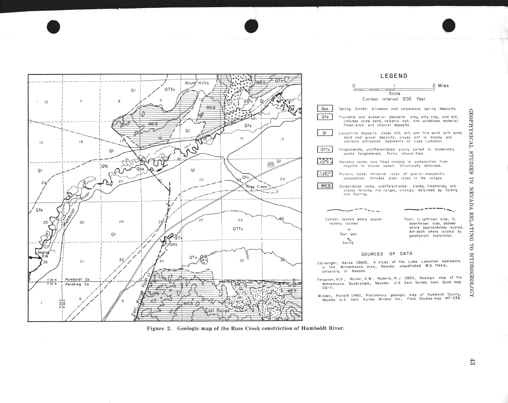

#### LEGEND





- Ferguson, H.G., Muller, S.W., Roberts, R.J. (1951), Geologic map of the Winnemucca Quadrangle, Nevada: U.S. Geol. Survey Geol. Quad. map  $GQ - H$ .
- Willden, Ronald (1961), Preliminary geologic map of Humboldt County,<br>- Nevada: U.S. Geol. Survey Mineral Inv., Field Studies.map MF-236.



**CEOPHYSICAL** 

SHUDIES

 $\overline{\mathbf{z}}$ 

NEVADA

**RELATING** 

 $\vec{c}$ 

кооподвоени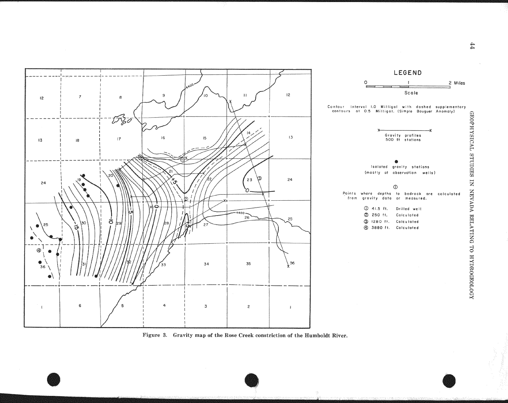



Figure 3. Gravity map of the Rose Creek constriction of the Humboldt River.

44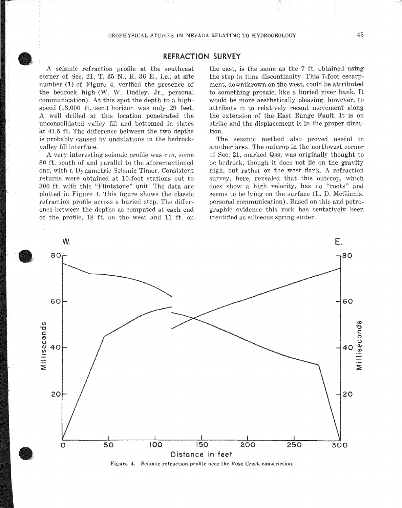A seismic refraction profile at the southeast corner of Sec. 21, T. 35 N., R. 36 E., i.e., at site number  $(1)$  of Figure 4, verified the presence of the bedrock high (W. W. Dudley, Jr., personal communication). At this spot the depth to a highspeed  $(13,000 \text{ ft./sec.})$  horizon was only 29 feet. A well drilled at this location penetrated the unconsolidated valley fill and bottomed in slates at 41.5 ft. The difference between the two depths is probably caused by undulations in the bedrockvalley fill interface.

A very interesting seismic profile was run, some 80 ft. south of and parallel to the aforementioned one, with a Dynametric Seismic Timer. Consistent returns were obtained at 10-foot stations out to 300 ft. with this "Flintstone" unit. The data are plotted in Figure 4. This figure shows the classic refraction profile across a buried step. The difference between the depths as computed at each end of the profile, 18 ft. on the west and 11 ft. on the east, is the same as the 7 ft. obtained using the step in time discontinuity. This 7-foot escarpment, downthrown on the west, could be attributed to something prosaic, like a buried river bank. It would be more aesthetically pleasing, however, to attribute it to relatively recent movement along the extension of the East Fault. It is on strike and the displacement is in the proper direction.

The seismic method also proved useful in another area. The outcrop in the northwest corner of Sec. 21, marked Qss, was originally thought to be bedrock, though it does not lie on the gravity high, but rather on the west flank. A refraction survey, here, revealed that this outcrop, which does show a high velocity, has no "roots" and seems to be lying on the surface (L. D. McGinnis, personal communication). Based on this and petrographic evidence this rock has tentatively been identified as siliceous spring sinter.